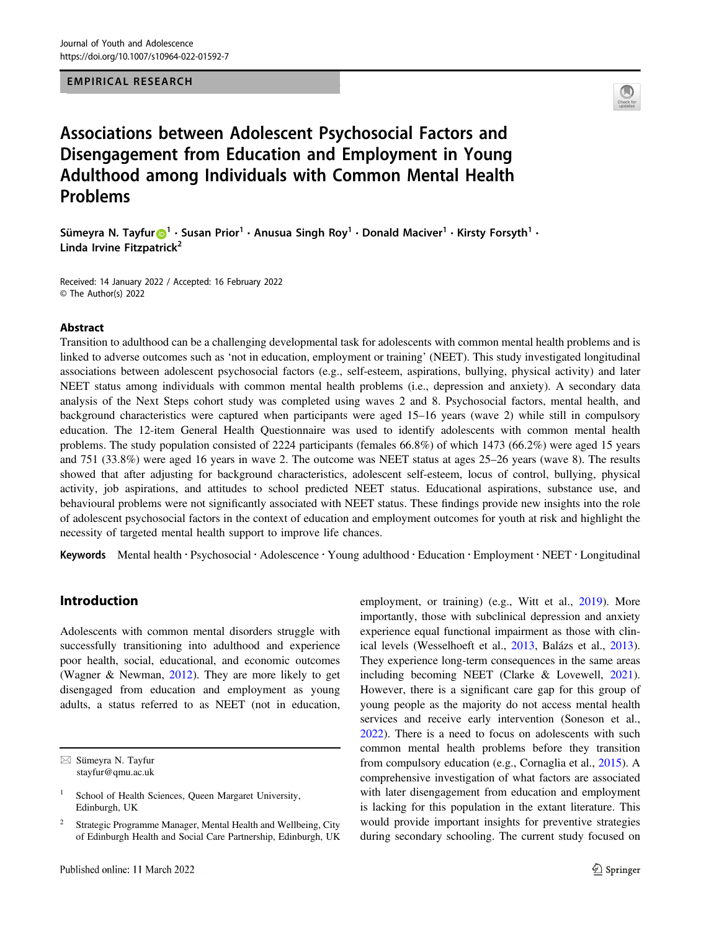EMPIRICAL RESEARCH



# Associations between Adolescent Psychosocial Factors and Disengagement from Education and Employment in Young Adulthood among Individuals with Common Mental Health Problems

Sümeyra N. Tayfur $\bigcirc^1 \cdot$  $\bigcirc^1 \cdot$  $\bigcirc^1 \cdot$  Susan Prior $^1 \cdot$  Anusua Singh Roy $^1 \cdot$  Donald Maciver $^1 \cdot$  Kirsty Forsyth $^1 \cdot$ Linda Irvine Fitzpatrick $2$ 

Received: 14 January 2022 / Accepted: 16 February 2022 © The Author(s) 2022

#### Abstract

Transition to adulthood can be a challenging developmental task for adolescents with common mental health problems and is linked to adverse outcomes such as 'not in education, employment or training' (NEET). This study investigated longitudinal associations between adolescent psychosocial factors (e.g., self-esteem, aspirations, bullying, physical activity) and later NEET status among individuals with common mental health problems (i.e., depression and anxiety). A secondary data analysis of the Next Steps cohort study was completed using waves 2 and 8. Psychosocial factors, mental health, and background characteristics were captured when participants were aged 15–16 years (wave 2) while still in compulsory education. The 12-item General Health Questionnaire was used to identify adolescents with common mental health problems. The study population consisted of 2224 participants (females 66.8%) of which 1473 (66.2%) were aged 15 years and 751 (33.8%) were aged 16 years in wave 2. The outcome was NEET status at ages 25–26 years (wave 8). The results showed that after adjusting for background characteristics, adolescent self-esteem, locus of control, bullying, physical activity, job aspirations, and attitudes to school predicted NEET status. Educational aspirations, substance use, and behavioural problems were not significantly associated with NEET status. These findings provide new insights into the role of adolescent psychosocial factors in the context of education and employment outcomes for youth at risk and highlight the necessity of targeted mental health support to improve life chances.

Keywords Mental health · Psychosocial · Adolescence · Young adulthood · Education · Employment · NEET · Longitudinal

# Introduction

Adolescents with common mental disorders struggle with successfully transitioning into adulthood and experience poor health, social, educational, and economic outcomes (Wagner & Newman, [2012\)](#page-11-0). They are more likely to get disengaged from education and employment as young adults, a status referred to as NEET (not in education, employment, or training) (e.g., Witt et al., [2019](#page-11-0)). More importantly, those with subclinical depression and anxiety experience equal functional impairment as those with clinical levels (Wesselhoeft et al., [2013,](#page-11-0) Balázs et al., [2013\)](#page-10-0). They experience long-term consequences in the same areas including becoming NEET (Clarke & Lovewell, [2021\)](#page-10-0). However, there is a significant care gap for this group of young people as the majority do not access mental health services and receive early intervention (Soneson et al., [2022](#page-11-0)). There is a need to focus on adolescents with such common mental health problems before they transition from compulsory education (e.g., Cornaglia et al., [2015\)](#page-10-0). A comprehensive investigation of what factors are associated with later disengagement from education and employment is lacking for this population in the extant literature. This would provide important insights for preventive strategies during secondary schooling. The current study focused on

 $\boxtimes$  Sümeyra N. Tayfur [stayfur@qmu.ac.uk](mailto:stayfur@qmu.ac.uk)

School of Health Sciences, Queen Margaret University, Edinburgh, UK

<sup>2</sup> Strategic Programme Manager, Mental Health and Wellbeing, City of Edinburgh Health and Social Care Partnership, Edinburgh, UK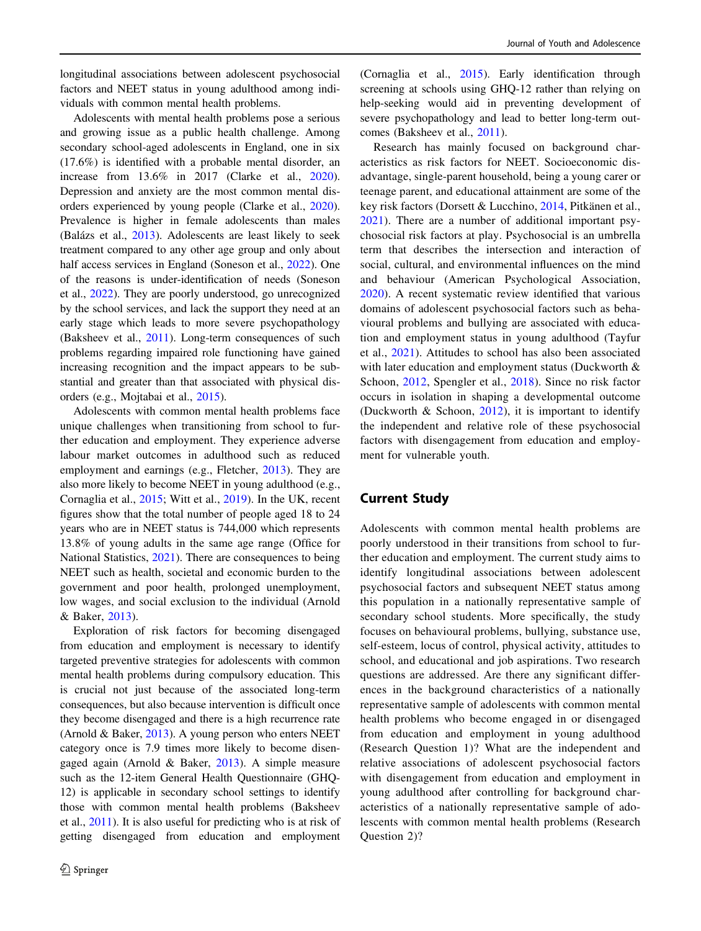longitudinal associations between adolescent psychosocial factors and NEET status in young adulthood among individuals with common mental health problems.

Adolescents with mental health problems pose a serious and growing issue as a public health challenge. Among secondary school-aged adolescents in England, one in six (17.6%) is identified with a probable mental disorder, an increase from 13.6% in 2017 (Clarke et al., [2020](#page-10-0)). Depression and anxiety are the most common mental disorders experienced by young people (Clarke et al., [2020](#page-10-0)). Prevalence is higher in female adolescents than males (Balázs et al., [2013](#page-10-0)). Adolescents are least likely to seek treatment compared to any other age group and only about half access services in England (Soneson et al., [2022\)](#page-11-0). One of the reasons is under-identification of needs (Soneson et al., [2022](#page-11-0)). They are poorly understood, go unrecognized by the school services, and lack the support they need at an early stage which leads to more severe psychopathology (Baksheev et al., [2011](#page-10-0)). Long-term consequences of such problems regarding impaired role functioning have gained increasing recognition and the impact appears to be substantial and greater than that associated with physical disorders (e.g., Mojtabai et al., [2015](#page-10-0)).

Adolescents with common mental health problems face unique challenges when transitioning from school to further education and employment. They experience adverse labour market outcomes in adulthood such as reduced employment and earnings (e.g., Fletcher, [2013](#page-10-0)). They are also more likely to become NEET in young adulthood (e.g., Cornaglia et al., [2015;](#page-10-0) Witt et al., [2019](#page-11-0)). In the UK, recent figures show that the total number of people aged 18 to 24 years who are in NEET status is 744,000 which represents 13.8% of young adults in the same age range (Office for National Statistics, [2021](#page-11-0)). There are consequences to being NEET such as health, societal and economic burden to the government and poor health, prolonged unemployment, low wages, and social exclusion to the individual (Arnold & Baker, [2013\)](#page-10-0).

Exploration of risk factors for becoming disengaged from education and employment is necessary to identify targeted preventive strategies for adolescents with common mental health problems during compulsory education. This is crucial not just because of the associated long-term consequences, but also because intervention is difficult once they become disengaged and there is a high recurrence rate (Arnold  $& Baker, 2013$ ). A young person who enters NEET category once is 7.9 times more likely to become disengaged again (Arnold & Baker, [2013\)](#page-10-0). A simple measure such as the 12-item General Health Questionnaire (GHQ-12) is applicable in secondary school settings to identify those with common mental health problems (Baksheev et al., [2011\)](#page-10-0). It is also useful for predicting who is at risk of getting disengaged from education and employment

(Cornaglia et al., [2015\)](#page-10-0). Early identification through screening at schools using GHQ-12 rather than relying on help-seeking would aid in preventing development of severe psychopathology and lead to better long-term outcomes (Baksheev et al., [2011\)](#page-10-0).

Research has mainly focused on background characteristics as risk factors for NEET. Socioeconomic disadvantage, single-parent household, being a young carer or teenage parent, and educational attainment are some of the key risk factors (Dorsett & Lucchino, [2014,](#page-10-0) Pitkänen et al., [2021](#page-11-0)). There are a number of additional important psychosocial risk factors at play. Psychosocial is an umbrella term that describes the intersection and interaction of social, cultural, and environmental influences on the mind and behaviour (American Psychological Association, [2020](#page-10-0)). A recent systematic review identified that various domains of adolescent psychosocial factors such as behavioural problems and bullying are associated with education and employment status in young adulthood (Tayfur et al., [2021\)](#page-11-0). Attitudes to school has also been associated with later education and employment status (Duckworth & Schoon, [2012,](#page-10-0) Spengler et al., [2018](#page-11-0)). Since no risk factor occurs in isolation in shaping a developmental outcome (Duckworth & Schoon, [2012\)](#page-10-0), it is important to identify the independent and relative role of these psychosocial factors with disengagement from education and employment for vulnerable youth.

## Current Study

Adolescents with common mental health problems are poorly understood in their transitions from school to further education and employment. The current study aims to identify longitudinal associations between adolescent psychosocial factors and subsequent NEET status among this population in a nationally representative sample of secondary school students. More specifically, the study focuses on behavioural problems, bullying, substance use, self-esteem, locus of control, physical activity, attitudes to school, and educational and job aspirations. Two research questions are addressed. Are there any significant differences in the background characteristics of a nationally representative sample of adolescents with common mental health problems who become engaged in or disengaged from education and employment in young adulthood (Research Question 1)? What are the independent and relative associations of adolescent psychosocial factors with disengagement from education and employment in young adulthood after controlling for background characteristics of a nationally representative sample of adolescents with common mental health problems (Research Question 2)?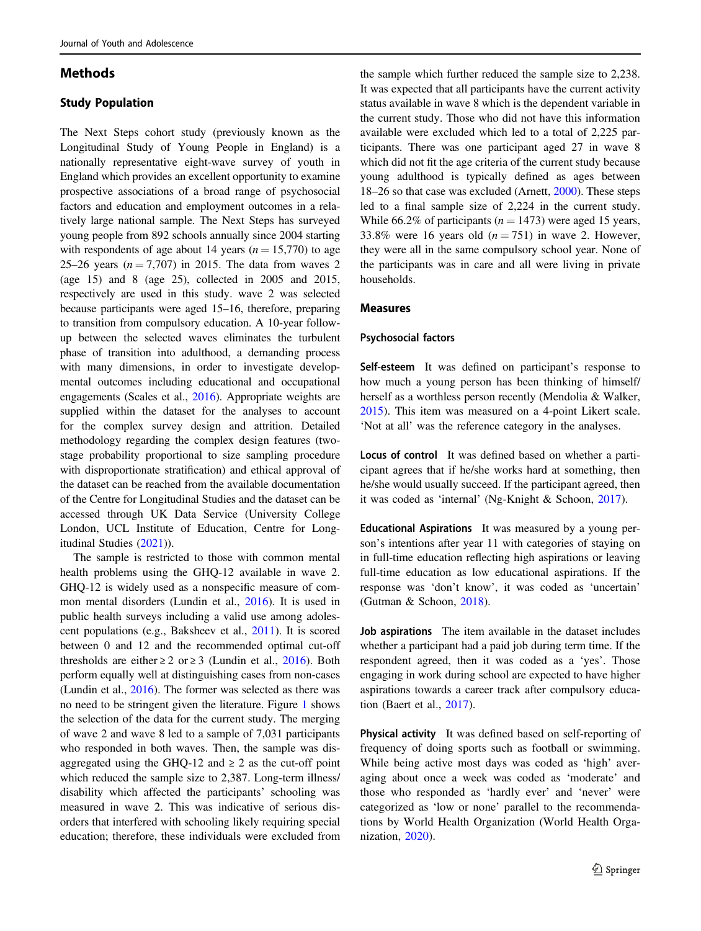## Methods

## Study Population

The Next Steps cohort study (previously known as the Longitudinal Study of Young People in England) is a nationally representative eight-wave survey of youth in England which provides an excellent opportunity to examine prospective associations of a broad range of psychosocial factors and education and employment outcomes in a relatively large national sample. The Next Steps has surveyed young people from 892 schools annually since 2004 starting with respondents of age about 14 years ( $n = 15,770$ ) to age 25–26 years ( $n = 7,707$ ) in 2015. The data from waves 2 (age 15) and 8 (age 25), collected in 2005 and 2015, respectively are used in this study. wave 2 was selected because participants were aged 15–16, therefore, preparing to transition from compulsory education. A 10-year followup between the selected waves eliminates the turbulent phase of transition into adulthood, a demanding process with many dimensions, in order to investigate developmental outcomes including educational and occupational engagements (Scales et al., [2016](#page-11-0)). Appropriate weights are supplied within the dataset for the analyses to account for the complex survey design and attrition. Detailed methodology regarding the complex design features (twostage probability proportional to size sampling procedure with disproportionate stratification) and ethical approval of the dataset can be reached from the available documentation of the Centre for Longitudinal Studies and the dataset can be accessed through UK Data Service (University College London, UCL Institute of Education, Centre for Longitudinal Studies [\(2021](#page-11-0))).

The sample is restricted to those with common mental health problems using the GHQ-12 available in wave 2. GHQ-12 is widely used as a nonspecific measure of common mental disorders (Lundin et al., [2016](#page-10-0)). It is used in public health surveys including a valid use among adolescent populations (e.g., Baksheev et al., [2011\)](#page-10-0). It is scored between 0 and 12 and the recommended optimal cut-off thresholds are either  $\geq 2$  or  $\geq 3$  (Lundin et al., [2016](#page-10-0)). Both perform equally well at distinguishing cases from non-cases (Lundin et al., [2016\)](#page-10-0). The former was selected as there was no need to be stringent given the literature. Figure [1](#page-3-0) shows the selection of the data for the current study. The merging of wave 2 and wave 8 led to a sample of 7,031 participants who responded in both waves. Then, the sample was disaggregated using the GHQ-12 and  $\geq$  2 as the cut-off point which reduced the sample size to 2,387. Long-term illness/ disability which affected the participants' schooling was measured in wave 2. This was indicative of serious disorders that interfered with schooling likely requiring special education; therefore, these individuals were excluded from

the sample which further reduced the sample size to 2,238. It was expected that all participants have the current activity status available in wave 8 which is the dependent variable in the current study. Those who did not have this information available were excluded which led to a total of 2,225 participants. There was one participant aged 27 in wave 8 which did not fit the age criteria of the current study because young adulthood is typically defined as ages between 18–26 so that case was excluded (Arnett, [2000](#page-10-0)). These steps led to a final sample size of 2,224 in the current study. While 66.2% of participants ( $n = 1473$ ) were aged 15 years, 33.8% were 16 years old  $(n = 751)$  in wave 2. However, they were all in the same compulsory school year. None of the participants was in care and all were living in private households.

## Measures

#### Psychosocial factors

Self-esteem It was defined on participant's response to how much a young person has been thinking of himself/ herself as a worthless person recently (Mendolia & Walker, [2015](#page-10-0)). This item was measured on a 4-point Likert scale. 'Not at all' was the reference category in the analyses.

Locus of control It was defined based on whether a participant agrees that if he/she works hard at something, then he/she would usually succeed. If the participant agreed, then it was coded as 'internal' (Ng-Knight & Schoon, [2017](#page-10-0)).

Educational Aspirations It was measured by a young person's intentions after year 11 with categories of staying on in full-time education reflecting high aspirations or leaving full-time education as low educational aspirations. If the response was 'don't know', it was coded as 'uncertain' (Gutman & Schoon, [2018](#page-10-0)).

Job aspirations The item available in the dataset includes whether a participant had a paid job during term time. If the respondent agreed, then it was coded as a 'yes'. Those engaging in work during school are expected to have higher aspirations towards a career track after compulsory education (Baert et al., [2017](#page-10-0)).

Physical activity It was defined based on self-reporting of frequency of doing sports such as football or swimming. While being active most days was coded as 'high' averaging about once a week was coded as 'moderate' and those who responded as 'hardly ever' and 'never' were categorized as 'low or none' parallel to the recommendations by World Health Organization (World Health Organization, [2020](#page-11-0)).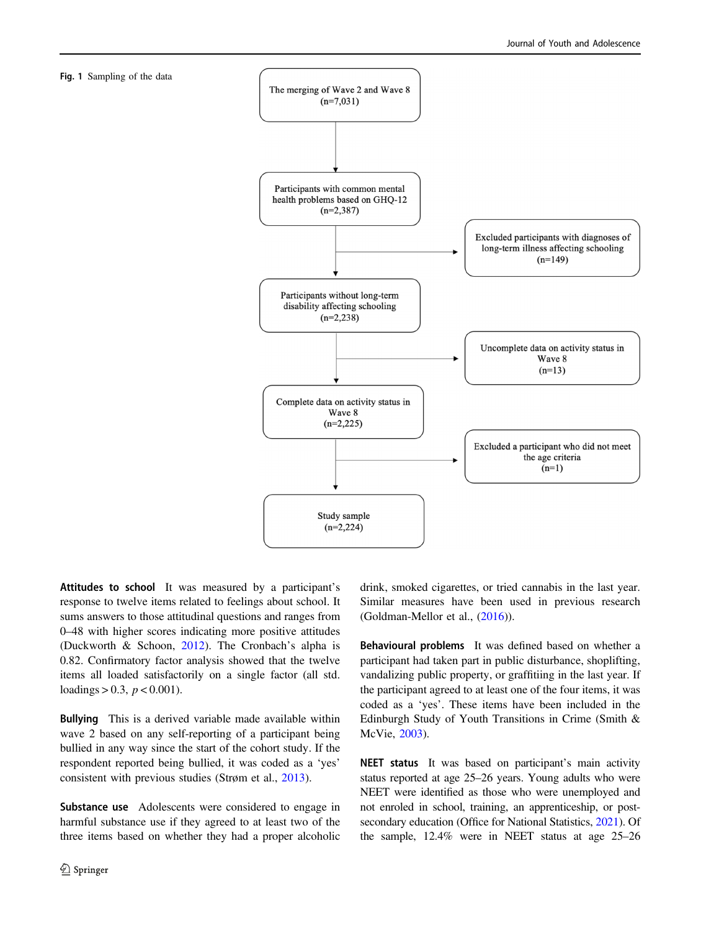<span id="page-3-0"></span>



Attitudes to school It was measured by a participant's response to twelve items related to feelings about school. It sums answers to those attitudinal questions and ranges from 0–48 with higher scores indicating more positive attitudes (Duckworth & Schoon, [2012](#page-10-0)). The Cronbach's alpha is 0.82. Confirmatory factor analysis showed that the twelve items all loaded satisfactorily on a single factor (all std. loadings > 0.3,  $p < 0.001$ ).

Bullying This is a derived variable made available within wave 2 based on any self-reporting of a participant being bullied in any way since the start of the cohort study. If the respondent reported being bullied, it was coded as a 'yes' consistent with previous studies (Strøm et al., [2013](#page-11-0)).

Substance use Adolescents were considered to engage in harmful substance use if they agreed to at least two of the three items based on whether they had a proper alcoholic drink, smoked cigarettes, or tried cannabis in the last year. Similar measures have been used in previous research (Goldman‐Mellor et al., ([2016\)](#page-10-0)).

Behavioural problems It was defined based on whether a participant had taken part in public disturbance, shoplifting, vandalizing public property, or graffitiing in the last year. If the participant agreed to at least one of the four items, it was coded as a 'yes'. These items have been included in the Edinburgh Study of Youth Transitions in Crime (Smith & McVie, [2003](#page-11-0)).

NEET status It was based on participant's main activity status reported at age 25–26 years. Young adults who were NEET were identified as those who were unemployed and not enroled in school, training, an apprenticeship, or post-secondary education (Office for National Statistics, [2021\)](#page-11-0). Of the sample, 12.4% were in NEET status at age 25–26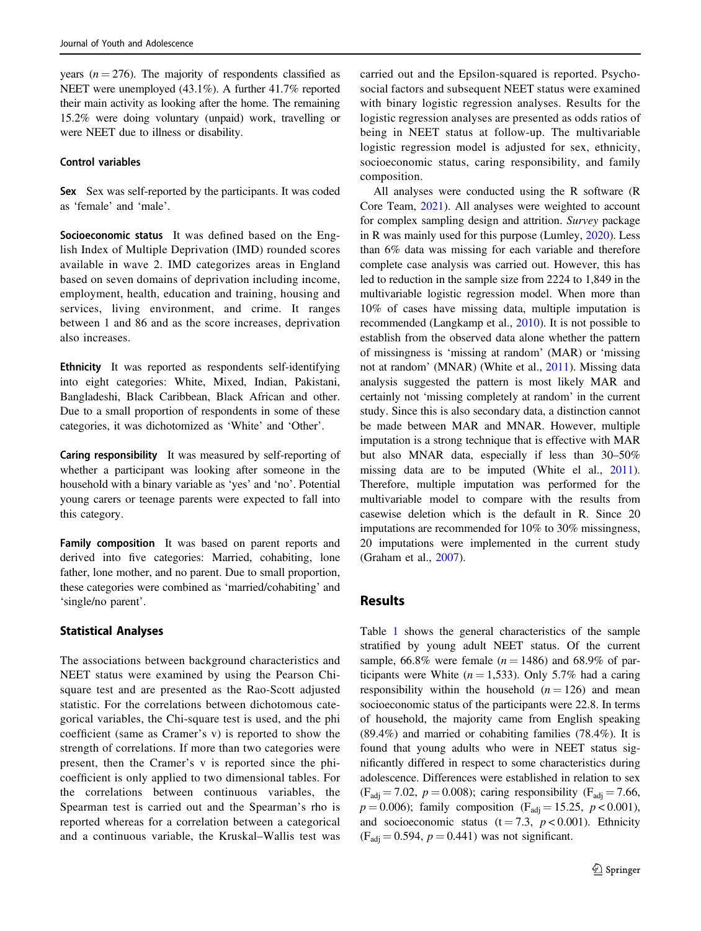years ( $n = 276$ ). The majority of respondents classified as NEET were unemployed (43.1%). A further 41.7% reported their main activity as looking after the home. The remaining 15.2% were doing voluntary (unpaid) work, travelling or were NEET due to illness or disability.

#### Control variables

Sex Sex was self-reported by the participants. It was coded as 'female' and 'male'.

Socioeconomic status It was defined based on the English Index of Multiple Deprivation (IMD) rounded scores available in wave 2. IMD categorizes areas in England based on seven domains of deprivation including income, employment, health, education and training, housing and services, living environment, and crime. It ranges between 1 and 86 and as the score increases, deprivation also increases.

Ethnicity It was reported as respondents self-identifying into eight categories: White, Mixed, Indian, Pakistani, Bangladeshi, Black Caribbean, Black African and other. Due to a small proportion of respondents in some of these categories, it was dichotomized as 'White' and 'Other'.

Caring responsibility It was measured by self-reporting of whether a participant was looking after someone in the household with a binary variable as 'yes' and 'no'. Potential young carers or teenage parents were expected to fall into this category.

Family composition It was based on parent reports and derived into five categories: Married, cohabiting, lone father, lone mother, and no parent. Due to small proportion, these categories were combined as 'married/cohabiting' and 'single/no parent'.

## Statistical Analyses

The associations between background characteristics and NEET status were examined by using the Pearson Chisquare test and are presented as the Rao-Scott adjusted statistic. For the correlations between dichotomous categorical variables, the Chi-square test is used, and the phi coefficient (same as Cramer's v) is reported to show the strength of correlations. If more than two categories were present, then the Cramer's v is reported since the phicoefficient is only applied to two dimensional tables. For the correlations between continuous variables, the Spearman test is carried out and the Spearman's rho is reported whereas for a correlation between a categorical and a continuous variable, the Kruskal–Wallis test was carried out and the Epsilon-squared is reported. Psychosocial factors and subsequent NEET status were examined with binary logistic regression analyses. Results for the logistic regression analyses are presented as odds ratios of being in NEET status at follow-up. The multivariable logistic regression model is adjusted for sex, ethnicity, socioeconomic status, caring responsibility, and family composition.

All analyses were conducted using the R software (R Core Team, [2021](#page-11-0)). All analyses were weighted to account for complex sampling design and attrition. Survey package in R was mainly used for this purpose (Lumley, [2020\)](#page-10-0). Less than 6% data was missing for each variable and therefore complete case analysis was carried out. However, this has led to reduction in the sample size from 2224 to 1,849 in the multivariable logistic regression model. When more than 10% of cases have missing data, multiple imputation is recommended (Langkamp et al., [2010\)](#page-10-0). It is not possible to establish from the observed data alone whether the pattern of missingness is 'missing at random' (MAR) or 'missing not at random' (MNAR) (White et al., [2011\)](#page-11-0). Missing data analysis suggested the pattern is most likely MAR and certainly not 'missing completely at random' in the current study. Since this is also secondary data, a distinction cannot be made between MAR and MNAR. However, multiple imputation is a strong technique that is effective with MAR but also MNAR data, especially if less than 30–50% missing data are to be imputed (White el al., [2011\)](#page-11-0). Therefore, multiple imputation was performed for the multivariable model to compare with the results from casewise deletion which is the default in R. Since 20 imputations are recommended for 10% to 30% missingness, 20 imputations were implemented in the current study (Graham et al., [2007](#page-10-0)).

## **Results**

Table [1](#page-5-0) shows the general characteristics of the sample stratified by young adult NEET status. Of the current sample, 66.8% were female ( $n = 1486$ ) and 68.9% of participants were White  $(n = 1.533)$ . Only 5.7% had a caring responsibility within the household  $(n = 126)$  and mean socioeconomic status of the participants were 22.8. In terms of household, the majority came from English speaking (89.4%) and married or cohabiting families (78.4%). It is found that young adults who were in NEET status significantly differed in respect to some characteristics during adolescence. Differences were established in relation to sex  $(F_{\text{adj}} = 7.02, p = 0.008)$ ; caring responsibility  $(F_{\text{adj}} = 7.66,$  $p = 0.006$ ; family composition (F<sub>adj</sub> = 15.25,  $p < 0.001$ ), and socioeconomic status (t = 7.3,  $p < 0.001$ ). Ethnicity  $(F_{\text{adj}} = 0.594, p = 0.441)$  was not significant.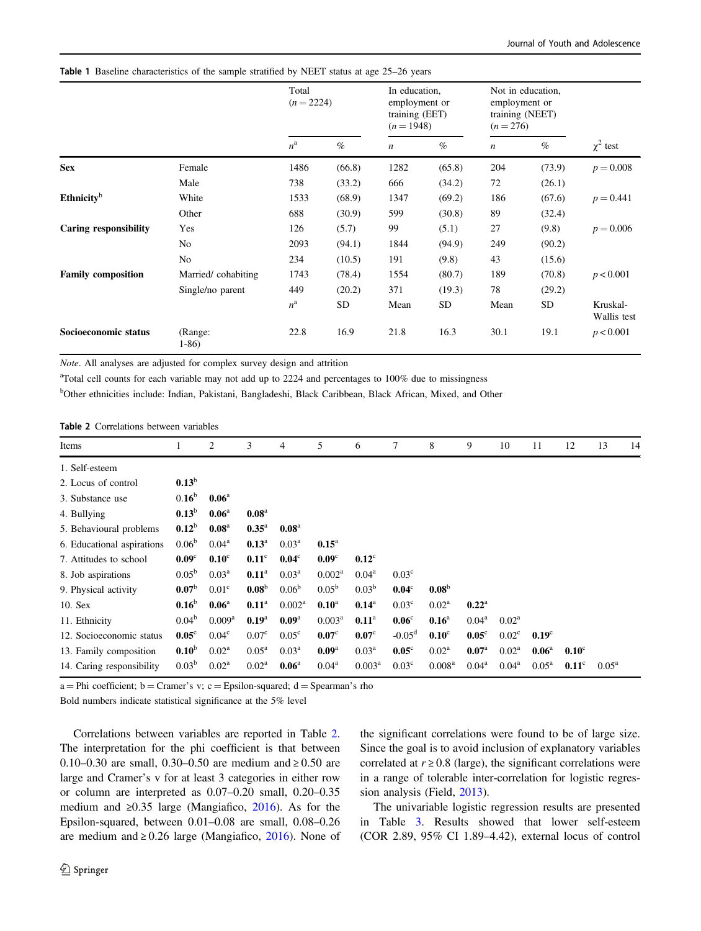#### <span id="page-5-0"></span>Table 1 Baseline characteristics of the sample stratified by NEET status at age 25–26 years

|                              |                    | Total<br>$(n = 2224)$ |           | In education,<br>employment or<br>training (EET)<br>$(n = 1948)$ |           | Not in education,<br>employment or<br>training (NEET)<br>$(n = 276)$ |           |                         |  |
|------------------------------|--------------------|-----------------------|-----------|------------------------------------------------------------------|-----------|----------------------------------------------------------------------|-----------|-------------------------|--|
|                              |                    | $n^{\rm a}$           | $\%$      | $\boldsymbol{n}$                                                 | $\%$      | $\boldsymbol{n}$                                                     | $\%$      | $\chi^2$ test           |  |
| <b>Sex</b>                   | Female             | 1486                  | (66.8)    | 1282                                                             | (65.8)    | 204                                                                  | (73.9)    | $p = 0.008$             |  |
|                              | Male               | 738                   | (33.2)    | 666                                                              | (34.2)    | 72                                                                   | (26.1)    |                         |  |
| Ethnicity $b$                | White              | 1533                  | (68.9)    | 1347                                                             | (69.2)    | 186                                                                  | (67.6)    | $p = 0.441$             |  |
|                              | Other              | 688                   | (30.9)    | 599                                                              | (30.8)    | 89                                                                   | (32.4)    |                         |  |
| <b>Caring responsibility</b> | Yes                | 126                   | (5.7)     | 99                                                               | (5.1)     | 27                                                                   | (9.8)     | $p = 0.006$             |  |
|                              | N <sub>0</sub>     | 2093                  | (94.1)    | 1844                                                             | (94.9)    | 249                                                                  | (90.2)    |                         |  |
|                              | N <sub>o</sub>     | 234                   | (10.5)    | 191                                                              | (9.8)     | 43                                                                   | (15.6)    |                         |  |
| <b>Family composition</b>    | Married/cohabiting | 1743                  | (78.4)    | 1554                                                             | (80.7)    | 189                                                                  | (70.8)    | p < 0.001               |  |
|                              | Single/no parent   | 449                   | (20.2)    | 371                                                              | (19.3)    | 78                                                                   | (29.2)    |                         |  |
|                              |                    | $n^{\rm a}$           | <b>SD</b> | Mean                                                             | <b>SD</b> | Mean                                                                 | <b>SD</b> | Kruskal-<br>Wallis test |  |
| Socioeconomic status         | (Range:<br>$1-86$  | 22.8                  | 16.9      | 21.8                                                             | 16.3      | 30.1                                                                 | 19.1      | p < 0.001               |  |

Note. All analyses are adjusted for complex survey design and attrition

<sup>a</sup>Total cell counts for each variable may not add up to 2224 and percentages to 100% due to missingness

<sup>b</sup>Other ethnicities include: Indian, Pakistani, Bangladeshi, Black Caribbean, Black African, Mixed, and Other

Table 2 Correlations between variables

| 1                 | 2                  | 3                 | 4                  | 5                  | 6              | 7                 | 8                  | 9              | 10             | 11             | 12             | 13             | 14 |
|-------------------|--------------------|-------------------|--------------------|--------------------|----------------|-------------------|--------------------|----------------|----------------|----------------|----------------|----------------|----|
|                   |                    |                   |                    |                    |                |                   |                    |                |                |                |                |                |    |
| $0.13^b$          |                    |                   |                    |                    |                |                   |                    |                |                |                |                |                |    |
| 0.16 <sup>b</sup> | 0.06 <sup>a</sup>  |                   |                    |                    |                |                   |                    |                |                |                |                |                |    |
| $0.13^b$          | 0.06 <sup>a</sup>  | 0.08 <sup>a</sup> |                    |                    |                |                   |                    |                |                |                |                |                |    |
| $0.12^b$          | 0.08 <sup>a</sup>  | $0.35^{\rm a}$    | 0.08 <sup>a</sup>  |                    |                |                   |                    |                |                |                |                |                |    |
| 0.06 <sup>b</sup> | $0.04^{\rm a}$     | $0.13^{\rm a}$    | 0.03 <sup>a</sup>  | $0.15^{\rm a}$     |                |                   |                    |                |                |                |                |                |    |
| 0.09 <sup>c</sup> | $0.10^{\circ}$     | $0.11^{\circ}$    | $0.04^{\circ}$     | 0.09 <sup>c</sup>  | $0.12^{\circ}$ |                   |                    |                |                |                |                |                |    |
| $0.05^{\rm b}$    | $0.03^{\rm a}$     | 0.11 <sup>a</sup> | $0.03^{\rm a}$     | $0.002^a$          | $0.04^{\rm a}$ | 0.03 <sup>c</sup> |                    |                |                |                |                |                |    |
| 0.07 <sup>b</sup> | 0.01 <sup>c</sup>  | 0.08 <sup>b</sup> | $0.06^{\rm b}$     | $0.05^{\rm b}$     | $0.03^{\rm b}$ | $0.04^{\circ}$    | 0.08 <sup>b</sup>  |                |                |                |                |                |    |
| 0.16 <sup>b</sup> | $0.06^{\rm a}$     | 0.11 <sup>a</sup> | 0.002 <sup>a</sup> | $0.10^{\text{a}}$  | $0.14^{\rm a}$ | 0.03 <sup>c</sup> | $0.02^{\rm a}$     | $0.22^{\rm a}$ |                |                |                |                |    |
| $0.04^b$          | 0.009 <sup>a</sup> | $0.19^{\rm a}$    | 0.09 <sup>a</sup>  | 0.003 <sup>a</sup> | $0.11^{\rm a}$ | 0.06 <sup>c</sup> | $0.16^{\rm a}$     | $0.04^{\rm a}$ | $0.02^{\rm a}$ |                |                |                |    |
| $0.05^{\circ}$    | 0.04 <sup>c</sup>  | 0.07 <sup>c</sup> | $0.05^{\circ}$     | $0.07^{\circ}$     | $0.07^{\circ}$ | $-0.05^{\rm d}$   | $0.10^{\circ}$     | $0.05^{\circ}$ | $0.02^{\circ}$ | $0.19^\circ$   |                |                |    |
| 0.10 <sup>b</sup> | $0.02^a$           | $0.05^{\rm a}$    | 0.03 <sup>a</sup>  | 0.09 <sup>a</sup>  | $0.03^{\rm a}$ | $0.05^{\circ}$    | $0.02^{\rm a}$     | $0.07^{\rm a}$ | $0.02^{\rm a}$ | $0.06^{\rm a}$ | $0.10^{\circ}$ |                |    |
| $0.03^b$          | $0.02^{\rm a}$     | $0.02^{\rm a}$    | 0.06 <sup>a</sup>  | $0.04^{\rm a}$     | $0.003^a$      | 0.03 <sup>c</sup> | 0.008 <sup>a</sup> | $0.04^{\rm a}$ | $0.04^{\rm a}$ | $0.05^{\rm a}$ | $0.11^{\circ}$ | $0.05^{\rm a}$ |    |
|                   |                    |                   |                    |                    |                |                   |                    |                |                |                |                |                |    |

 $a = Phi$  coefficient;  $b = Cramer's$  v;  $c = Espision-squared$ ;  $d = Spearman's$  rho

Bold numbers indicate statistical significance at the 5% level

Correlations between variables are reported in Table 2. The interpretation for the phi coefficient is that between 0.10–0.30 are small, 0.30–0.50 are medium and  $\geq 0.50$  are large and Cramer's v for at least 3 categories in either row or column are interpreted as 0.07–0.20 small, 0.20–0.35 medium and ≥0.35 large (Mangiafico, [2016\)](#page-10-0). As for the Epsilon-squared, between 0.01–0.08 are small, 0.08–0.26 are medium and  $\geq 0.26$  large (Mangiafico, [2016\)](#page-10-0). None of the significant correlations were found to be of large size. Since the goal is to avoid inclusion of explanatory variables correlated at  $r \geq 0.8$  (large), the significant correlations were in a range of tolerable inter-correlation for logistic regression analysis (Field, [2013](#page-10-0)).

The univariable logistic regression results are presented in Table [3](#page-6-0). Results showed that lower self-esteem (COR 2.89, 95% CI 1.89–4.42), external locus of control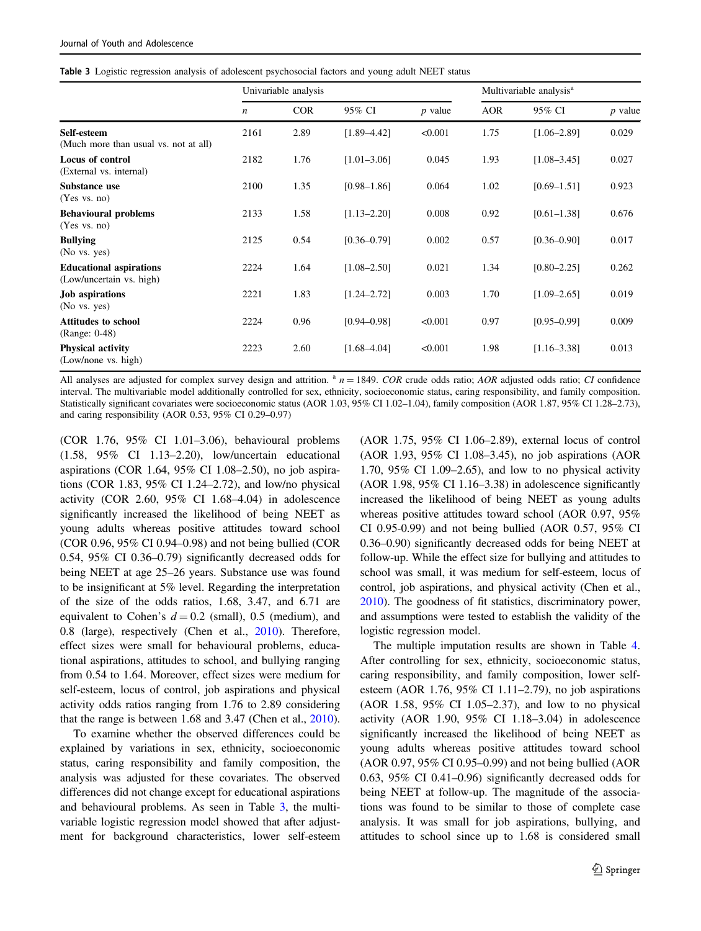<span id="page-6-0"></span>

|  |  |  |  |  | Table 3 Logistic regression analysis of adolescent psychosocial factors and young adult NEET status |  |  |  |  |
|--|--|--|--|--|-----------------------------------------------------------------------------------------------------|--|--|--|--|
|--|--|--|--|--|-----------------------------------------------------------------------------------------------------|--|--|--|--|

|                                                            |                  | Univariable analysis |                 | Multivariable analysis <sup>a</sup> |            |                 |           |
|------------------------------------------------------------|------------------|----------------------|-----------------|-------------------------------------|------------|-----------------|-----------|
|                                                            | $\boldsymbol{n}$ | <b>COR</b>           | 95% CI          | $p$ value                           | <b>AOR</b> | 95% CI          | $p$ value |
| Self-esteem<br>(Much more than usual vs. not at all)       | 2161             | 2.89                 | $[1.89 - 4.42]$ | < 0.001                             | 1.75       | $[1.06 - 2.89]$ | 0.029     |
| Locus of control<br>(External vs. internal)                | 2182             | 1.76                 | $[1.01 - 3.06]$ | 0.045                               | 1.93       | $[1.08 - 3.45]$ | 0.027     |
| Substance use<br>(Yes vs. no)                              | 2100             | 1.35                 | $[0.98 - 1.86]$ | 0.064                               | 1.02       | $[0.69 - 1.51]$ | 0.923     |
| <b>Behavioural problems</b><br>(Yes vs. no)                | 2133             | 1.58                 | $[1.13 - 2.20]$ | 0.008                               | 0.92       | $[0.61 - 1.38]$ | 0.676     |
| <b>Bullying</b><br>(No vs. yes)                            | 2125             | 0.54                 | $[0.36 - 0.79]$ | 0.002                               | 0.57       | $[0.36 - 0.90]$ | 0.017     |
| <b>Educational aspirations</b><br>(Low/uncertain vs. high) | 2224             | 1.64                 | $[1.08 - 2.50]$ | 0.021                               | 1.34       | $[0.80 - 2.25]$ | 0.262     |
| <b>Job aspirations</b><br>(No vs. yes)                     | 2221             | 1.83                 | $[1.24 - 2.72]$ | 0.003                               | 1.70       | $[1.09 - 2.65]$ | 0.019     |
| <b>Attitudes to school</b><br>(Range: 0-48)                | 2224             | 0.96                 | $[0.94 - 0.98]$ | < 0.001                             | 0.97       | $[0.95 - 0.99]$ | 0.009     |
| <b>Physical activity</b><br>(Low/none vs. high)            | 2223             | 2.60                 | $[1.68 - 4.04]$ | < 0.001                             | 1.98       | $[1.16 - 3.38]$ | 0.013     |

All analyses are adjusted for complex survey design and attrition.  $a_n = 1849$ . COR crude odds ratio; AOR adjusted odds ratio; CI confidence interval. The multivariable model additionally controlled for sex, ethnicity, socioeconomic status, caring responsibility, and family composition. Statistically significant covariates were socioeconomic status (AOR 1.03, 95% CI 1.02–1.04), family composition (AOR 1.87, 95% CI 1.28–2.73), and caring responsibility (AOR 0.53, 95% CI 0.29–0.97)

(COR 1.76, 95% CI 1.01–3.06), behavioural problems (1.58, 95% CI 1.13–2.20), low/uncertain educational aspirations (COR 1.64, 95% CI 1.08–2.50), no job aspirations (COR 1.83, 95% CI 1.24–2.72), and low/no physical activity (COR 2.60, 95% CI 1.68–4.04) in adolescence significantly increased the likelihood of being NEET as young adults whereas positive attitudes toward school (COR 0.96, 95% CI 0.94–0.98) and not being bullied (COR 0.54, 95% CI 0.36–0.79) significantly decreased odds for being NEET at age 25–26 years. Substance use was found to be insignificant at 5% level. Regarding the interpretation of the size of the odds ratios, 1.68, 3.47, and 6.71 are equivalent to Cohen's  $d = 0.2$  (small), 0.5 (medium), and 0.8 (large), respectively (Chen et al., [2010\)](#page-10-0). Therefore, effect sizes were small for behavioural problems, educational aspirations, attitudes to school, and bullying ranging from 0.54 to 1.64. Moreover, effect sizes were medium for self-esteem, locus of control, job aspirations and physical activity odds ratios ranging from 1.76 to 2.89 considering that the range is between 1.68 and 3.47 (Chen et al., [2010](#page-10-0)).

To examine whether the observed differences could be explained by variations in sex, ethnicity, socioeconomic status, caring responsibility and family composition, the analysis was adjusted for these covariates. The observed differences did not change except for educational aspirations and behavioural problems. As seen in Table 3, the multivariable logistic regression model showed that after adjustment for background characteristics, lower self-esteem (AOR 1.75, 95% CI 1.06–2.89), external locus of control (AOR 1.93, 95% CI 1.08–3.45), no job aspirations (AOR 1.70, 95% CI 1.09–2.65), and low to no physical activity (AOR 1.98, 95% CI 1.16–3.38) in adolescence significantly increased the likelihood of being NEET as young adults whereas positive attitudes toward school (AOR 0.97, 95% CI 0.95-0.99) and not being bullied (AOR 0.57, 95% CI 0.36–0.90) significantly decreased odds for being NEET at follow-up. While the effect size for bullying and attitudes to school was small, it was medium for self-esteem, locus of control, job aspirations, and physical activity (Chen et al., [2010\)](#page-10-0). The goodness of fit statistics, discriminatory power, and assumptions were tested to establish the validity of the logistic regression model.

The multiple imputation results are shown in Table [4.](#page-7-0) After controlling for sex, ethnicity, socioeconomic status, caring responsibility, and family composition, lower selfesteem (AOR 1.76, 95% CI 1.11–2.79), no job aspirations (AOR 1.58, 95% CI 1.05–2.37), and low to no physical activity (AOR 1.90, 95% CI 1.18–3.04) in adolescence significantly increased the likelihood of being NEET as young adults whereas positive attitudes toward school (AOR 0.97, 95% CI 0.95–0.99) and not being bullied (AOR 0.63, 95% CI 0.41–0.96) significantly decreased odds for being NEET at follow-up. The magnitude of the associations was found to be similar to those of complete case analysis. It was small for job aspirations, bullying, and attitudes to school since up to 1.68 is considered small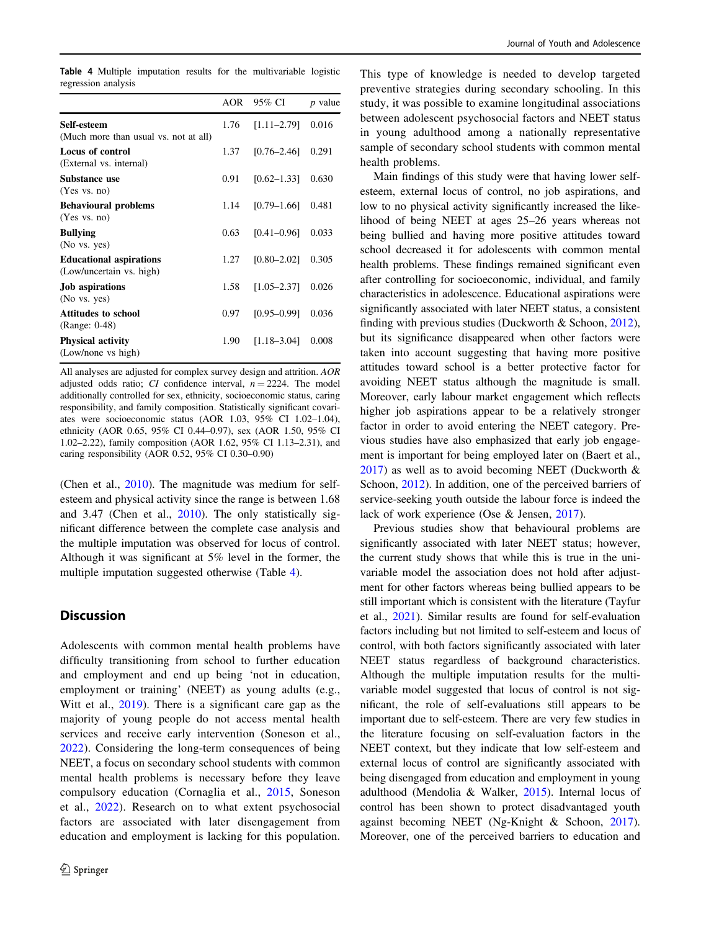<span id="page-7-0"></span>Table 4 Multiple imputation results for the multivariable logistic regression analysis

|      | 95% CI          | <i>p</i> value |
|------|-----------------|----------------|
| 1.76 | $[1.11 - 2.79]$ | 0.016          |
| 1.37 | $[0.76 - 2.46]$ | 0.291          |
| 0.91 | $[0.62 - 1.33]$ | 0.630          |
| 1.14 | $[0.79 - 1.66]$ | 0.481          |
| 0.63 | $[0.41 - 0.96]$ | 0.033          |
| 1.27 | $[0.80 - 2.02]$ | 0.305          |
| 1.58 | $[1.05 - 2.37]$ | 0.026          |
| 0.97 | $[0.95 - 0.99]$ | 0.036          |
| 1.90 | $[1.18 - 3.04]$ | 0.008          |
|      |                 | AOR            |

All analyses are adjusted for complex survey design and attrition. AOR adjusted odds ratio; CI confidence interval,  $n = 2224$ . The model additionally controlled for sex, ethnicity, socioeconomic status, caring responsibility, and family composition. Statistically significant covariates were socioeconomic status (AOR 1.03, 95% CI 1.02–1.04), ethnicity (AOR 0.65, 95% CI 0.44–0.97), sex (AOR 1.50, 95% CI 1.02–2.22), family composition (AOR 1.62, 95% CI 1.13–2.31), and caring responsibility (AOR 0.52, 95% CI 0.30–0.90)

(Chen et al., [2010](#page-10-0)). The magnitude was medium for selfesteem and physical activity since the range is between 1.68 and 3.47 (Chen et al., [2010\)](#page-10-0). The only statistically significant difference between the complete case analysis and the multiple imputation was observed for locus of control. Although it was significant at 5% level in the former, the multiple imputation suggested otherwise (Table 4).

## **Discussion**

Adolescents with common mental health problems have difficulty transitioning from school to further education and employment and end up being 'not in education, employment or training' (NEET) as young adults (e.g., Witt et al., [2019](#page-11-0)). There is a significant care gap as the majority of young people do not access mental health services and receive early intervention (Soneson et al., [2022](#page-11-0)). Considering the long-term consequences of being NEET, a focus on secondary school students with common mental health problems is necessary before they leave compulsory education (Cornaglia et al., [2015](#page-10-0), Soneson et al., [2022](#page-11-0)). Research on to what extent psychosocial factors are associated with later disengagement from education and employment is lacking for this population.

This type of knowledge is needed to develop targeted preventive strategies during secondary schooling. In this study, it was possible to examine longitudinal associations between adolescent psychosocial factors and NEET status in young adulthood among a nationally representative sample of secondary school students with common mental health problems.

Main findings of this study were that having lower selfesteem, external locus of control, no job aspirations, and low to no physical activity significantly increased the likelihood of being NEET at ages 25–26 years whereas not being bullied and having more positive attitudes toward school decreased it for adolescents with common mental health problems. These findings remained significant even after controlling for socioeconomic, individual, and family characteristics in adolescence. Educational aspirations were significantly associated with later NEET status, a consistent finding with previous studies (Duckworth & Schoon, [2012\)](#page-10-0), but its significance disappeared when other factors were taken into account suggesting that having more positive attitudes toward school is a better protective factor for avoiding NEET status although the magnitude is small. Moreover, early labour market engagement which reflects higher job aspirations appear to be a relatively stronger factor in order to avoid entering the NEET category. Previous studies have also emphasized that early job engagement is important for being employed later on (Baert et al., [2017](#page-10-0)) as well as to avoid becoming NEET (Duckworth & Schoon, [2012](#page-10-0)). In addition, one of the perceived barriers of service-seeking youth outside the labour force is indeed the lack of work experience (Ose & Jensen, [2017](#page-11-0)).

Previous studies show that behavioural problems are significantly associated with later NEET status; however, the current study shows that while this is true in the univariable model the association does not hold after adjustment for other factors whereas being bullied appears to be still important which is consistent with the literature (Tayfur et al., [2021\)](#page-11-0). Similar results are found for self-evaluation factors including but not limited to self-esteem and locus of control, with both factors significantly associated with later NEET status regardless of background characteristics. Although the multiple imputation results for the multivariable model suggested that locus of control is not significant, the role of self-evaluations still appears to be important due to self-esteem. There are very few studies in the literature focusing on self-evaluation factors in the NEET context, but they indicate that low self-esteem and external locus of control are significantly associated with being disengaged from education and employment in young adulthood (Mendolia & Walker, [2015\)](#page-10-0). Internal locus of control has been shown to protect disadvantaged youth against becoming NEET (Ng-Knight & Schoon, [2017\)](#page-10-0). Moreover, one of the perceived barriers to education and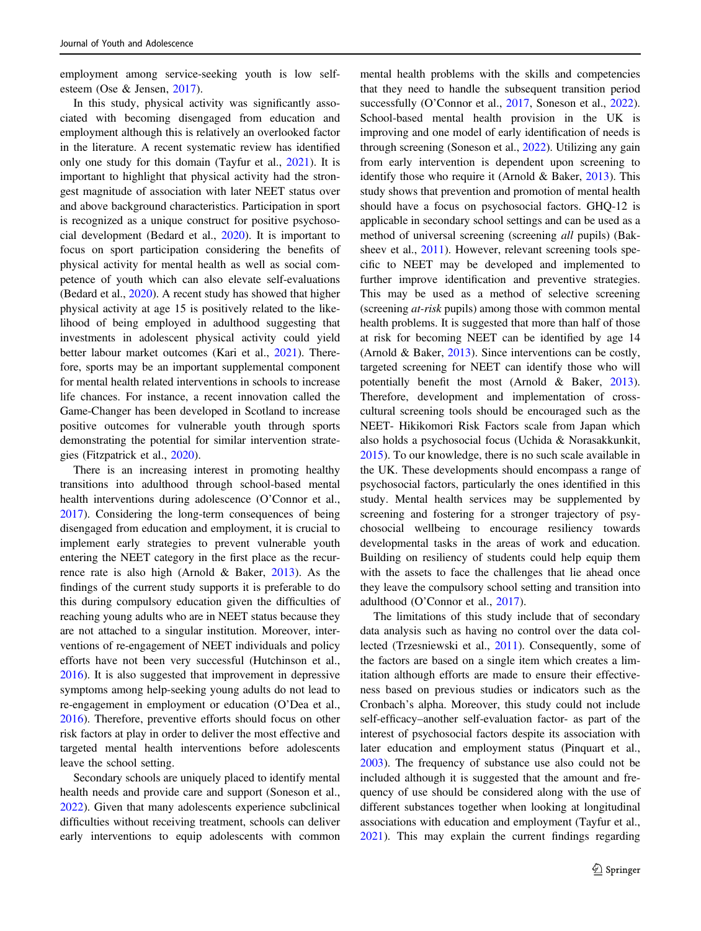employment among service-seeking youth is low selfesteem (Ose & Jensen, [2017\)](#page-11-0).

In this study, physical activity was significantly associated with becoming disengaged from education and employment although this is relatively an overlooked factor in the literature. A recent systematic review has identified only one study for this domain (Tayfur et al., [2021](#page-11-0)). It is important to highlight that physical activity had the strongest magnitude of association with later NEET status over and above background characteristics. Participation in sport is recognized as a unique construct for positive psychosocial development (Bedard et al., [2020](#page-10-0)). It is important to focus on sport participation considering the benefits of physical activity for mental health as well as social competence of youth which can also elevate self-evaluations (Bedard et al., [2020](#page-10-0)). A recent study has showed that higher physical activity at age 15 is positively related to the likelihood of being employed in adulthood suggesting that investments in adolescent physical activity could yield better labour market outcomes (Kari et al., [2021](#page-10-0)). Therefore, sports may be an important supplemental component for mental health related interventions in schools to increase life chances. For instance, a recent innovation called the Game-Changer has been developed in Scotland to increase positive outcomes for vulnerable youth through sports demonstrating the potential for similar intervention strategies (Fitzpatrick et al., [2020](#page-10-0)).

There is an increasing interest in promoting healthy transitions into adulthood through school-based mental health interventions during adolescence (O'Connor et al., [2017\)](#page-10-0). Considering the long-term consequences of being disengaged from education and employment, it is crucial to implement early strategies to prevent vulnerable youth entering the NEET category in the first place as the recurrence rate is also high (Arnold & Baker, [2013\)](#page-10-0). As the findings of the current study supports it is preferable to do this during compulsory education given the difficulties of reaching young adults who are in NEET status because they are not attached to a singular institution. Moreover, interventions of re-engagement of NEET individuals and policy efforts have not been very successful (Hutchinson et al., [2016\)](#page-10-0). It is also suggested that improvement in depressive symptoms among help-seeking young adults do not lead to re-engagement in employment or education (O'Dea et al., [2016\)](#page-10-0). Therefore, preventive efforts should focus on other risk factors at play in order to deliver the most effective and targeted mental health interventions before adolescents leave the school setting.

Secondary schools are uniquely placed to identify mental health needs and provide care and support (Soneson et al., [2022\)](#page-11-0). Given that many adolescents experience subclinical difficulties without receiving treatment, schools can deliver early interventions to equip adolescents with common mental health problems with the skills and competencies that they need to handle the subsequent transition period successfully (O'Connor et al., [2017](#page-10-0), Soneson et al., [2022\)](#page-11-0). School-based mental health provision in the UK is improving and one model of early identification of needs is through screening (Soneson et al., [2022](#page-11-0)). Utilizing any gain from early intervention is dependent upon screening to identify those who require it (Arnold & Baker, [2013\)](#page-10-0). This study shows that prevention and promotion of mental health should have a focus on psychosocial factors. GHQ-12 is applicable in secondary school settings and can be used as a method of universal screening (screening all pupils) (Baksheev et al., [2011\)](#page-10-0). However, relevant screening tools specific to NEET may be developed and implemented to further improve identification and preventive strategies. This may be used as a method of selective screening (screening at-risk pupils) among those with common mental health problems. It is suggested that more than half of those at risk for becoming NEET can be identified by age 14 (Arnold & Baker, [2013](#page-10-0)). Since interventions can be costly, targeted screening for NEET can identify those who will potentially benefit the most (Arnold & Baker, [2013\)](#page-10-0). Therefore, development and implementation of crosscultural screening tools should be encouraged such as the NEET- Hikikomori Risk Factors scale from Japan which also holds a psychosocial focus (Uchida & Norasakkunkit, [2015](#page-11-0)). To our knowledge, there is no such scale available in the UK. These developments should encompass a range of psychosocial factors, particularly the ones identified in this study. Mental health services may be supplemented by screening and fostering for a stronger trajectory of psychosocial wellbeing to encourage resiliency towards developmental tasks in the areas of work and education. Building on resiliency of students could help equip them with the assets to face the challenges that lie ahead once they leave the compulsory school setting and transition into adulthood (O'Connor et al., [2017\)](#page-10-0).

The limitations of this study include that of secondary data analysis such as having no control over the data collected (Trzesniewski et al., [2011](#page-11-0)). Consequently, some of the factors are based on a single item which creates a limitation although efforts are made to ensure their effectiveness based on previous studies or indicators such as the Cronbach's alpha. Moreover, this study could not include self-efficacy–another self-evaluation factor- as part of the interest of psychosocial factors despite its association with later education and employment status (Pinquart et al., [2003](#page-11-0)). The frequency of substance use also could not be included although it is suggested that the amount and frequency of use should be considered along with the use of different substances together when looking at longitudinal associations with education and employment (Tayfur et al., [2021](#page-11-0)). This may explain the current findings regarding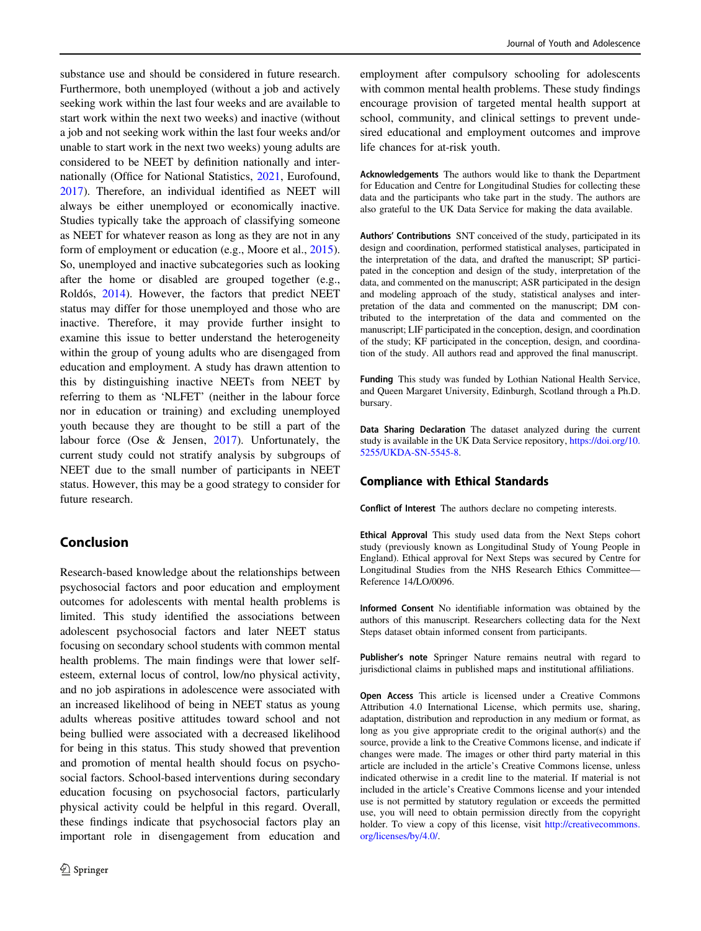substance use and should be considered in future research. Furthermore, both unemployed (without a job and actively seeking work within the last four weeks and are available to start work within the next two weeks) and inactive (without a job and not seeking work within the last four weeks and/or unable to start work in the next two weeks) young adults are considered to be NEET by definition nationally and internationally (Office for National Statistics, [2021](#page-11-0), Eurofound, [2017\)](#page-10-0). Therefore, an individual identified as NEET will always be either unemployed or economically inactive. Studies typically take the approach of classifying someone as NEET for whatever reason as long as they are not in any form of employment or education (e.g., Moore et al., [2015](#page-10-0)). So, unemployed and inactive subcategories such as looking after the home or disabled are grouped together (e.g., Roldós, [2014\)](#page-11-0). However, the factors that predict NEET status may differ for those unemployed and those who are inactive. Therefore, it may provide further insight to examine this issue to better understand the heterogeneity within the group of young adults who are disengaged from education and employment. A study has drawn attention to this by distinguishing inactive NEETs from NEET by referring to them as 'NLFET' (neither in the labour force nor in education or training) and excluding unemployed youth because they are thought to be still a part of the labour force (Ose & Jensen, [2017](#page-11-0)). Unfortunately, the current study could not stratify analysis by subgroups of NEET due to the small number of participants in NEET status. However, this may be a good strategy to consider for future research.

# Conclusion

Research-based knowledge about the relationships between psychosocial factors and poor education and employment outcomes for adolescents with mental health problems is limited. This study identified the associations between adolescent psychosocial factors and later NEET status focusing on secondary school students with common mental health problems. The main findings were that lower selfesteem, external locus of control, low/no physical activity, and no job aspirations in adolescence were associated with an increased likelihood of being in NEET status as young adults whereas positive attitudes toward school and not being bullied were associated with a decreased likelihood for being in this status. This study showed that prevention and promotion of mental health should focus on psychosocial factors. School-based interventions during secondary education focusing on psychosocial factors, particularly physical activity could be helpful in this regard. Overall, these findings indicate that psychosocial factors play an important role in disengagement from education and

employment after compulsory schooling for adolescents with common mental health problems. These study findings encourage provision of targeted mental health support at school, community, and clinical settings to prevent undesired educational and employment outcomes and improve life chances for at-risk youth.

Acknowledgements The authors would like to thank the Department for Education and Centre for Longitudinal Studies for collecting these data and the participants who take part in the study. The authors are also grateful to the UK Data Service for making the data available.

Authors' Contributions SNT conceived of the study, participated in its design and coordination, performed statistical analyses, participated in the interpretation of the data, and drafted the manuscript; SP participated in the conception and design of the study, interpretation of the data, and commented on the manuscript; ASR participated in the design and modeling approach of the study, statistical analyses and interpretation of the data and commented on the manuscript; DM contributed to the interpretation of the data and commented on the manuscript; LIF participated in the conception, design, and coordination of the study; KF participated in the conception, design, and coordination of the study. All authors read and approved the final manuscript.

Funding This study was funded by Lothian National Health Service, and Queen Margaret University, Edinburgh, Scotland through a Ph.D. bursary.

Data Sharing Declaration The dataset analyzed during the current study is available in the UK Data Service repository, [https://doi.org/10.](https://doi.org/10.5255/UKDA-SN-5545-8) [5255/UKDA-SN-5545-8.](https://doi.org/10.5255/UKDA-SN-5545-8)

## Compliance with Ethical Standards

Conflict of Interest The authors declare no competing interests.

Ethical Approval This study used data from the Next Steps cohort study (previously known as Longitudinal Study of Young People in England). Ethical approval for Next Steps was secured by Centre for Longitudinal Studies from the NHS Research Ethics Committee— Reference 14/LO/0096.

Informed Consent No identifiable information was obtained by the authors of this manuscript. Researchers collecting data for the Next Steps dataset obtain informed consent from participants.

Publisher's note Springer Nature remains neutral with regard to jurisdictional claims in published maps and institutional affiliations.

Open Access This article is licensed under a Creative Commons Attribution 4.0 International License, which permits use, sharing, adaptation, distribution and reproduction in any medium or format, as long as you give appropriate credit to the original author(s) and the source, provide a link to the Creative Commons license, and indicate if changes were made. The images or other third party material in this article are included in the article's Creative Commons license, unless indicated otherwise in a credit line to the material. If material is not included in the article's Creative Commons license and your intended use is not permitted by statutory regulation or exceeds the permitted use, you will need to obtain permission directly from the copyright holder. To view a copy of this license, visit [http://creativecommons.](http://creativecommons.org/licenses/by/4.0/) [org/licenses/by/4.0/](http://creativecommons.org/licenses/by/4.0/).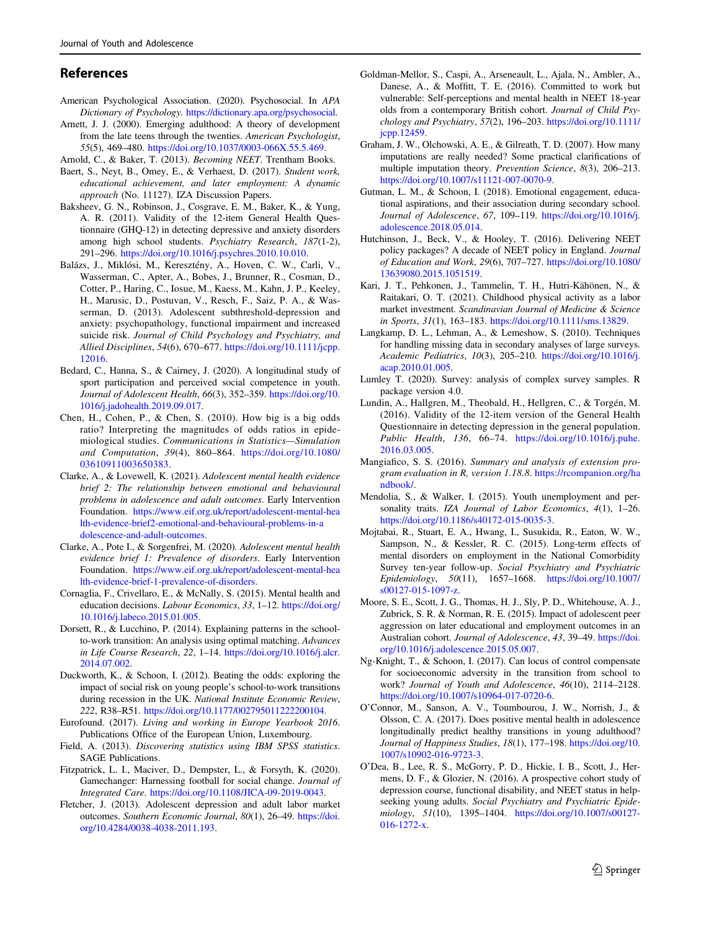## <span id="page-10-0"></span>References

- American Psychological Association. (2020). Psychosocial. In APA Dictionary of Psychology. [https://dictionary.apa.org/psychosocial.](https://dictionary.apa.org/psychosocial)
- Arnett, J. J. (2000). Emerging adulthood: A theory of development from the late teens through the twenties. American Psychologist, 55(5), 469–480. <https://doi.org/10.1037/0003-066X.55.5.469>.
- Arnold, C., & Baker, T. (2013). Becoming NEET. Trentham Books.
- Baert, S., Neyt, B., Omey, E., & Verhaest, D. (2017). Student work, educational achievement, and later employment: A dynamic approach (No. 11127). IZA Discussion Papers.
- Baksheev, G. N., Robinson, J., Cosgrave, E. M., Baker, K., & Yung, A. R. (2011). Validity of the 12-item General Health Questionnaire (GHQ-12) in detecting depressive and anxiety disorders among high school students. Psychiatry Research, 187(1-2), 291–296. <https://doi.org/10.1016/j.psychres.2010.10.010>.
- Balázs, J., Miklósi, M., Keresztény, A., Hoven, C. W., Carli, V., Wasserman, C., Apter, A., Bobes, J., Brunner, R., Cosman, D., Cotter, P., Haring, C., Iosue, M., Kaess, M., Kahn, J. P., Keeley, H., Marusic, D., Postuvan, V., Resch, F., Saiz, P. A., & Wasserman, D. (2013). Adolescent subthreshold-depression and anxiety: psychopathology, functional impairment and increased suicide risk. Journal of Child Psychology and Psychiatry, and Allied Disciplines, 54(6), 670–677. [https://doi.org/10.1111/jcpp.](https://doi.org/10.1111/jcpp.12016) [12016.](https://doi.org/10.1111/jcpp.12016)
- Bedard, C., Hanna, S., & Cairney, J. (2020). A longitudinal study of sport participation and perceived social competence in youth. Journal of Adolescent Health, 66(3), 352–359. [https://doi.org/10.](https://doi.org/10.1016/j.jadohealth.2019.09.017) [1016/j.jadohealth.2019.09.017](https://doi.org/10.1016/j.jadohealth.2019.09.017).
- Chen, H., Cohen, P., & Chen, S. (2010). How big is a big odds ratio? Interpreting the magnitudes of odds ratios in epidemiological studies. Communications in Statistics—Simulation and Computation, 39(4), 860–864. [https://doi.org/10.1080/](https://doi.org/10.1080/03610911003650383) [03610911003650383](https://doi.org/10.1080/03610911003650383).
- Clarke, A., & Lovewell, K. (2021). Adolescent mental health evidence brief 2: The relationship between emotional and behavioural problems in adolescence and adult outcomes. Early Intervention Foundation. [https://www.eif.org.uk/report/adolescent-mental-hea](https://www.eif.org.uk/report/adolescent-mental-health-evidence-brief2-emotional-and-behavioural-problems-in-adolescence-and-adult-outcomes) [lth-evidence-brief2-emotional-and-behavioural-problems-in-a](https://www.eif.org.uk/report/adolescent-mental-health-evidence-brief2-emotional-and-behavioural-problems-in-adolescence-and-adult-outcomes) [dolescence-and-adult-outcomes](https://www.eif.org.uk/report/adolescent-mental-health-evidence-brief2-emotional-and-behavioural-problems-in-adolescence-and-adult-outcomes).
- Clarke, A., Pote I., & Sorgenfrei, M. (2020). Adolescent mental health evidence brief 1: Prevalence of disorders. Early Intervention Foundation. [https://www.eif.org.uk/report/adolescent-mental-hea](https://www.eif.org.uk/report/adolescent-mental-health-evidence-brief-1-prevalence-of-disorders) [lth-evidence-brief-1-prevalence-of-disorders.](https://www.eif.org.uk/report/adolescent-mental-health-evidence-brief-1-prevalence-of-disorders)
- Cornaglia, F., Crivellaro, E., & McNally, S. (2015). Mental health and education decisions. Labour Economics, 33, 1–12. [https://doi.org/](https://doi.org/10.1016/j.labeco.2015.01.005) [10.1016/j.labeco.2015.01.005.](https://doi.org/10.1016/j.labeco.2015.01.005)
- Dorsett, R., & Lucchino, P. (2014). Explaining patterns in the schoolto-work transition: An analysis using optimal matching. Advances in Life Course Research, 22, 1–14. [https://doi.org/10.1016/j.alcr.](https://doi.org/10.1016/j.alcr.2014.07.002) [2014.07.002](https://doi.org/10.1016/j.alcr.2014.07.002).
- Duckworth, K., & Schoon, I. (2012). Beating the odds: exploring the impact of social risk on young people's school-to-work transitions during recession in the UK. National Institute Economic Review, 222, R38–R51. [https://doi.org/10.1177/002795011222200104.](https://doi.org/10.1177/002795011222200104)
- Eurofound. (2017). Living and working in Europe Yearbook 2016. Publications Office of the European Union, Luxembourg.
- Field, A. (2013). Discovering statistics using IBM SPSS statistics. SAGE Publications.
- Fitzpatrick, L. I., Maciver, D., Dempster, L., & Forsyth, K. (2020). Gamechanger: Harnessing football for social change. Journal of Integrated Care. <https://doi.org/10.1108/JICA-09-2019-0043>.
- Fletcher, J. (2013). Adolescent depression and adult labor market outcomes. Southern Economic Journal, 80(1), 26–49. [https://doi.](https://doi.org/10.4284/0038-4038-2011.193) [org/10.4284/0038-4038-2011.193](https://doi.org/10.4284/0038-4038-2011.193).
- Goldman‐Mellor, S., Caspi, A., Arseneault, L., Ajala, N., Ambler, A., Danese, A., & Moffitt, T. E. (2016). Committed to work but vulnerable: Self‐perceptions and mental health in NEET 18‐year olds from a contemporary British cohort. Journal of Child Psychology and Psychiatry, 57(2), 196–203. [https://doi.org/10.1111/](https://doi.org/10.1111/jcpp.12459) [jcpp.12459.](https://doi.org/10.1111/jcpp.12459)
- Graham, J. W., Olchowski, A. E., & Gilreath, T. D. (2007). How many imputations are really needed? Some practical clarifications of multiple imputation theory. Prevention Science, 8(3), 206–213. <https://doi.org/10.1007/s11121-007-0070-9>.
- Gutman, L. M., & Schoon, I. (2018). Emotional engagement, educational aspirations, and their association during secondary school. Journal of Adolescence, 67, 109–119. [https://doi.org/10.1016/j.](https://doi.org/10.1016/j.adolescence.2018.05.014) [adolescence.2018.05.014](https://doi.org/10.1016/j.adolescence.2018.05.014).
- Hutchinson, J., Beck, V., & Hooley, T. (2016). Delivering NEET policy packages? A decade of NEET policy in England. Journal of Education and Work, 29(6), 707–727. [https://doi.org/10.1080/](https://doi.org/10.1080/13639080.2015.1051519) [13639080.2015.1051519.](https://doi.org/10.1080/13639080.2015.1051519)
- Kari, J. T., Pehkonen, J., Tammelin, T. H., Hutri‐Kähönen, N., & Raitakari, O. T. (2021). Childhood physical activity as a labor market investment. Scandinavian Journal of Medicine & Science in Sports, 31(1), 163–183. <https://doi.org/10.1111/sms.13829>.
- Langkamp, D. L., Lehman, A., & Lemeshow, S. (2010). Techniques for handling missing data in secondary analyses of large surveys. Academic Pediatrics, 10(3), 205–210. [https://doi.org/10.1016/j.](https://doi.org/10.1016/j.acap.2010.01.005) [acap.2010.01.005.](https://doi.org/10.1016/j.acap.2010.01.005)
- Lumley T. (2020). Survey: analysis of complex survey samples. R package version 4.0.
- Lundin, A., Hallgren, M., Theobald, H., Hellgren, C., & Torgén, M. (2016). Validity of the 12-item version of the General Health Questionnaire in detecting depression in the general population. Public Health, 136, 66–74. [https://doi.org/10.1016/j.puhe.](https://doi.org/10.1016/j.puhe.2016.03.005) [2016.03.005.](https://doi.org/10.1016/j.puhe.2016.03.005)
- Mangiafico, S. S. (2016). Summary and analysis of extension program evaluation in R, version 1.18.8. [https://rcompanion.org/ha](https://rcompanion.org/handbook/) [ndbook/.](https://rcompanion.org/handbook/)
- Mendolia, S., & Walker, I. (2015). Youth unemployment and personality traits. IZA Journal of Labor Economics, 4(1), 1-26. <https://doi.org/10.1186/s40172-015-0035-3>.
- Mojtabai, R., Stuart, E. A., Hwang, I., Susukida, R., Eaton, W. W., Sampson, N., & Kessler, R. C. (2015). Long-term effects of mental disorders on employment in the National Comorbidity Survey ten-year follow-up. Social Psychiatry and Psychiatric Epidemiology, 50(11), 1657–1668. [https://doi.org/10.1007/](https://doi.org/10.1007/s00127-015-1097-z) [s00127-015-1097-z](https://doi.org/10.1007/s00127-015-1097-z).
- Moore, S. E., Scott, J. G., Thomas, H. J., Sly, P. D., Whitehouse, A. J., Zubrick, S. R. & Norman, R. E. (2015). Impact of adolescent peer aggression on later educational and employment outcomes in an Australian cohort. Journal of Adolescence, 43, 39–49. [https://doi.](https://doi.org/10.1016/j.adolescence.2015.05.007) [org/10.1016/j.adolescence.2015.05.007.](https://doi.org/10.1016/j.adolescence.2015.05.007)
- Ng-Knight, T., & Schoon, I. (2017). Can locus of control compensate for socioeconomic adversity in the transition from school to work? Journal of Youth and Adolescence, 46(10), 2114–2128. <https://doi.org/10.1007/s10964-017-0720-6>.
- O'Connor, M., Sanson, A. V., Toumbourou, J. W., Norrish, J., & Olsson, C. A. (2017). Does positive mental health in adolescence longitudinally predict healthy transitions in young adulthood? Journal of Happiness Studies, 18(1), 177–198. [https://doi.org/10.](https://doi.org/10.1007/s10902-016-9723-3) [1007/s10902-016-9723-3.](https://doi.org/10.1007/s10902-016-9723-3)
- O'Dea, B., Lee, R. S., McGorry, P. D., Hickie, I. B., Scott, J., Hermens, D. F., & Glozier, N. (2016). A prospective cohort study of depression course, functional disability, and NEET status in helpseeking young adults. Social Psychiatry and Psychiatric Epidemiology, 51(10), 1395–1404. [https://doi.org/10.1007/s00127-](https://doi.org/10.1007/s00127-016-1272-x) [016-1272-x](https://doi.org/10.1007/s00127-016-1272-x).